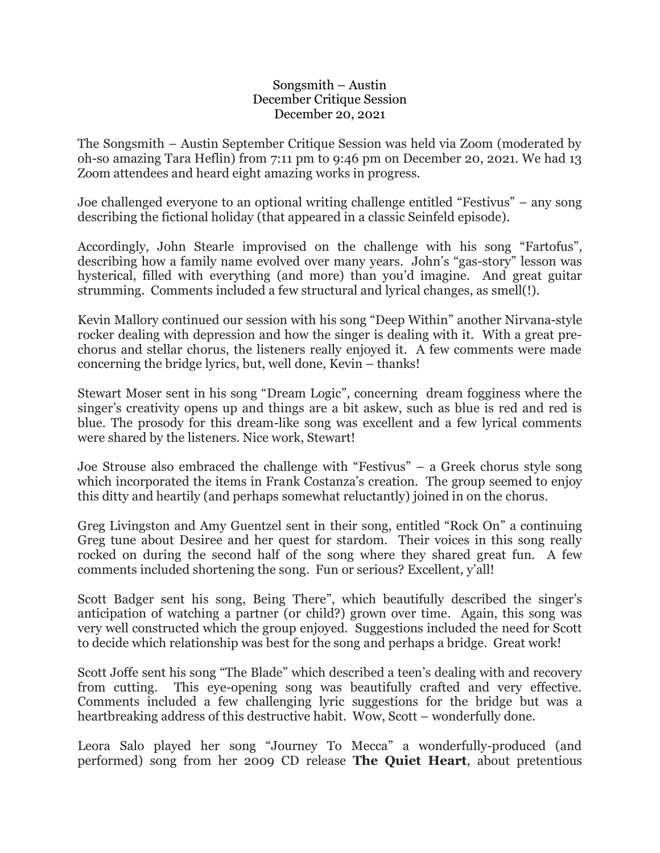## Songsmith – Austin December Critique Session December 20, 2021

The Songsmith – Austin September Critique Session was held via Zoom (moderated by oh-so amazing Tara Heflin) from 7:11 pm to 9:46 pm on December 20, 2021. We had 13 Zoom attendees and heard eight amazing works in progress.

Joe challenged everyone to an optional writing challenge entitled "Festivus" – any song describing the fictional holiday (that appeared in a classic Seinfeld episode).

Accordingly, John Stearle improvised on the challenge with his song "Fartofus", describing how a family name evolved over many years. John's "gas-story" lesson was hysterical, filled with everything (and more) than you'd imagine. And great guitar strumming. Comments included a few structural and lyrical changes, as smell(!).

Kevin Mallory continued our session with his song "Deep Within" another Nirvana-style rocker dealing with depression and how the singer is dealing with it. With a great prechorus and stellar chorus, the listeners really enjoyed it. A few comments were made concerning the bridge lyrics, but, well done, Kevin – thanks!

Stewart Moser sent in his song "Dream Logic", concerning dream fogginess where the singer's creativity opens up and things are a bit askew, such as blue is red and red is blue. The prosody for this dream-like song was excellent and a few lyrical comments were shared by the listeners. Nice work, Stewart!

Joe Strouse also embraced the challenge with "Festivus" – a Greek chorus style song which incorporated the items in Frank Costanza's creation. The group seemed to enjoy this ditty and heartily (and perhaps somewhat reluctantly) joined in on the chorus.

Greg Livingston and Amy Guentzel sent in their song, entitled "Rock On" a continuing Greg tune about Desiree and her quest for stardom. Their voices in this song really rocked on during the second half of the song where they shared great fun. A few comments included shortening the song. Fun or serious? Excellent, y'all!

Scott Badger sent his song, Being There", which beautifully described the singer's anticipation of watching a partner (or child?) grown over time. Again, this song was very well constructed which the group enjoyed. Suggestions included the need for Scott to decide which relationship was best for the song and perhaps a bridge. Great work!

Scott Joffe sent his song "The Blade" which described a teen's dealing with and recovery from cutting. This eye-opening song was beautifully crafted and very effective. Comments included a few challenging lyric suggestions for the bridge but was a heartbreaking address of this destructive habit. Wow, Scott – wonderfully done.

Leora Salo played her song "Journey To Mecca" a wonderfully-produced (and performed) song from her 2009 CD release **The Quiet Heart**, about pretentious